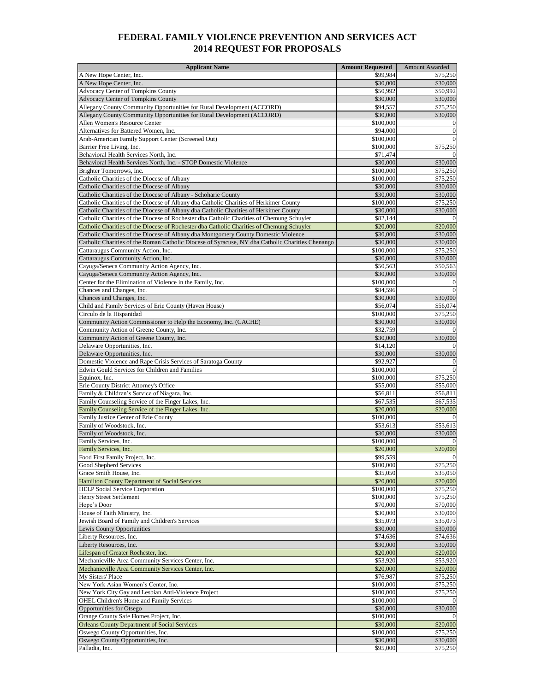## **FEDERAL FAMILY VIOLENCE PREVENTION AND SERVICES ACT 2014 REQUEST FOR PROPOSALS**

| <b>Applicant Name</b>                                                                                                                                                                  | <b>Amount Requested</b> | Amount Awarded           |
|----------------------------------------------------------------------------------------------------------------------------------------------------------------------------------------|-------------------------|--------------------------|
| A New Hope Center, Inc.                                                                                                                                                                | \$99,984                | \$75,250                 |
| A New Hope Center, Inc.                                                                                                                                                                | \$30,000                | \$30,000                 |
| <b>Advocacy Center of Tompkins County</b>                                                                                                                                              | \$50,992                | \$50,992                 |
| Advocacy Center of Tompkins County                                                                                                                                                     | \$30,000                | \$30,000                 |
| Allegany County Community Opportunities for Rural Development (ACCORD)                                                                                                                 | \$94,557                | \$75,250                 |
| Allegany County Community Opportunities for Rural Development (ACCORD)<br>Allen Women's Resource Center                                                                                | \$30,000<br>\$100,000   | \$30,000<br>$\theta$     |
| Alternatives for Battered Women, Inc.                                                                                                                                                  | \$94,000                | $\mathbf{0}$             |
| Arab-American Family Support Center (Screened Out)                                                                                                                                     | \$100,000               | $\mathbf{0}$             |
| Barrier Free Living, Inc.                                                                                                                                                              | \$100,000               | \$75,250                 |
| Behavioral Health Services North, Inc.                                                                                                                                                 | \$71,474                |                          |
| Behavioral Health Services North, Inc. - STOP Domestic Violence                                                                                                                        | \$30,000                | \$30,000                 |
| Brighter Tomorrows, Inc.                                                                                                                                                               | \$100,000               | \$75,250                 |
| Catholic Charities of the Diocese of Albany                                                                                                                                            | \$100,000               | \$75,250                 |
| Catholic Charities of the Diocese of Albany                                                                                                                                            | \$30,000                | \$30,000                 |
| Catholic Charities of the Diocese of Albany - Schoharie County                                                                                                                         | \$30,000                | \$30,000                 |
| Catholic Charities of the Diocese of Albany dba Catholic Charities of Herkimer County                                                                                                  | \$100,000               | \$75,250                 |
| Catholic Charities of the Diocese of Albany dba Catholic Charities of Herkimer County                                                                                                  | \$30,000                | \$30,000                 |
| Catholic Charities of the Diocese of Rochester dba Catholic Charities of Chemung Schuyler<br>Catholic Charities of the Diocese of Rochester dba Catholic Charities of Chemung Schuyler | \$82,144<br>\$20,000    | \$20,000                 |
| Catholic Charities of the Diocese of Albany dba Montgomery County Domestic Violence                                                                                                    | \$30,000                | \$30,000                 |
| Catholic Charities of the Roman Catholic Diocese of Syracuse, NY dba Catholic Charities Chenango                                                                                       | \$30,000                | \$30,000                 |
| Cattaraugus Community Action, Inc.                                                                                                                                                     | \$100,000               | \$75,250                 |
| Cattaraugus Community Action, Inc.                                                                                                                                                     | \$30,000                | \$30,000                 |
| Cayuga/Seneca Community Action Agency, Inc.                                                                                                                                            | \$50,563                | \$50,563                 |
| Cayuga/Seneca Community Action Agency, Inc.                                                                                                                                            | \$30,000                | \$30,000                 |
| Center for the Elimination of Violence in the Family, Inc.                                                                                                                             | \$100,000               | $\theta$                 |
| Chances and Changes, Inc.                                                                                                                                                              | \$84,596                |                          |
| Chances and Changes, Inc.                                                                                                                                                              | \$30,000                | \$30,000                 |
| Child and Family Services of Erie County (Haven House)                                                                                                                                 | \$56,074                | \$56,074                 |
| Circulo de la Hispanidad                                                                                                                                                               | \$100,000               | \$75,250                 |
| Community Action Commissioner to Help the Economy, Inc. (CACHE)                                                                                                                        | \$30,000                | \$30,000                 |
| Community Action of Greene County, Inc.                                                                                                                                                | \$32,759                |                          |
| Community Action of Greene County, Inc.                                                                                                                                                | \$30,000                | \$30,000                 |
| Delaware Opportunities, Inc.<br>Delaware Opportunities, Inc.                                                                                                                           | \$14,120<br>\$30,000    | \$30,000                 |
| Domestic Violence and Rape Crisis Services of Saratoga County                                                                                                                          | \$92,927                |                          |
| Edwin Gould Services for Children and Families                                                                                                                                         | \$100,000               |                          |
| Equinox, Inc.                                                                                                                                                                          | \$100,000               | \$75,250                 |
| Erie County District Attorney's Office                                                                                                                                                 | \$55,000                | \$55,000                 |
| Family & Children's Service of Niagara, Inc.                                                                                                                                           | \$56,811                | \$56,811                 |
| Family Counseling Service of the Finger Lakes, Inc.                                                                                                                                    | \$67,535                | \$67,535                 |
| Family Counseling Service of the Finger Lakes, Inc.                                                                                                                                    | \$20,000                | \$20,000                 |
| Family Justice Center of Erie County                                                                                                                                                   | \$100,000               |                          |
| Family of Woodstock, Inc.                                                                                                                                                              | \$53,613                | \$53,613                 |
| Family of Woodstock, Inc.                                                                                                                                                              | \$30,000                | \$30,000                 |
| Family Services, Inc.                                                                                                                                                                  | \$100,000               |                          |
| Family Services, Inc.                                                                                                                                                                  | \$20,000<br>\$99,559    | \$20,000                 |
| Food First Family Project, Inc.<br>Good Shepherd Services                                                                                                                              | \$100,000               | $\mathbf{0}$<br>\$75,250 |
| Grace Smith House, Inc.                                                                                                                                                                | \$35,050                | \$35,050                 |
| <b>Hamilton County Department of Social Services</b>                                                                                                                                   | \$20,000                | \$20,000                 |
| <b>HELP Social Service Corporation</b>                                                                                                                                                 | \$100,000               | \$75,250                 |
| <b>Henry Street Settlement</b>                                                                                                                                                         | \$100,000               | \$75,250                 |
| Hope's Door                                                                                                                                                                            | \$70,000                | \$70,000                 |
| House of Faith Ministry, Inc.                                                                                                                                                          | \$30,000                | \$30,000                 |
| Jewish Board of Family and Children's Services                                                                                                                                         | \$35,073                | \$35,073                 |
| Lewis County Opportunities                                                                                                                                                             | \$30,000                | \$30,000                 |
| Liberty Resources, Inc.                                                                                                                                                                | \$74,636                | \$74,636                 |
| Liberty Resources, Inc.                                                                                                                                                                | \$30,000                | \$30,000                 |
| Lifespan of Greater Rochester, Inc.                                                                                                                                                    | \$20,000                | \$20,000                 |
| Mechanicville Area Community Services Center, Inc.                                                                                                                                     | \$53,920                | \$53,920                 |
| Mechanicville Area Community Services Center, Inc.<br>My Sisters' Place                                                                                                                | \$20,000<br>\$76,987    | \$20,000<br>\$75,250     |
| New York Asian Women's Center, Inc.                                                                                                                                                    | \$100,000               | \$75,250                 |
| New York City Gay and Lesbian Anti-Violence Project                                                                                                                                    | \$100,000               | \$75,250                 |
| OHEL Children's Home and Family Services                                                                                                                                               | \$100,000               |                          |
| Opportunities for Otsego                                                                                                                                                               | \$30,000                | \$30,000                 |
| Orange County Safe Homes Project, Inc.                                                                                                                                                 | \$100,000               |                          |
| <b>Orleans County Department of Social Services</b>                                                                                                                                    | \$30,000                | \$20,000                 |
| Oswego County Opportunities, Inc.                                                                                                                                                      | \$100,000               | \$75,250                 |
| Oswego County Opportunities, Inc.                                                                                                                                                      | \$30,000                | \$30,000                 |
| Palladia, Inc.                                                                                                                                                                         | \$95,000                | \$75,250                 |